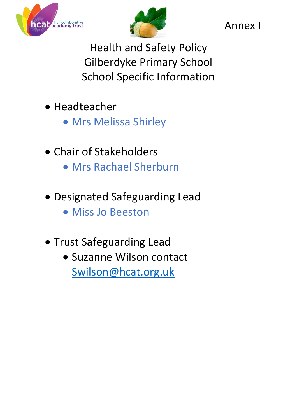



Annex I

Health and Safety Policy Gilberdyke Primary School School Specific Information

- Headteacher
	- Mrs Melissa Shirley
- Chair of Stakeholders
	- Mrs Rachael Sherburn
- Designated Safeguarding Lead
	- Miss Jo Beeston
- Trust Safeguarding Lead
	- Suzanne Wilson contact [Swilson@hcat.org.uk](mailto:Swilson@hcat.org.uk)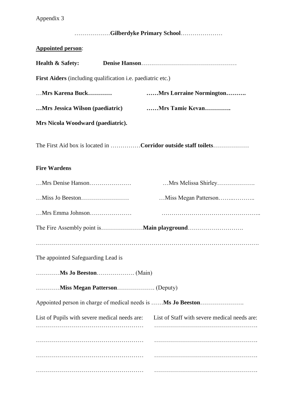# Appendix 3

| Gilberdyke Primary School                                      |                                              |
|----------------------------------------------------------------|----------------------------------------------|
| <b>Appointed person:</b>                                       |                                              |
| <b>Health &amp; Safety:</b>                                    |                                              |
| First Aiders (including qualification i.e. paediatric etc.)    |                                              |
| Mrs Karena Buck                                                | Mrs Lorraine Normington                      |
| Mrs Jessica Wilson (paediatric)                                | Mrs Tamie Kevan                              |
| Mrs Nicola Woodward (paediatric).                              |                                              |
| The First Aid box is located in Corridor outside staff toilets |                                              |
| <b>Fire Wardens</b>                                            |                                              |
|                                                                | Mrs Melissa Shirley                          |
|                                                                |                                              |
| Mrs Emma Johnson                                               |                                              |
|                                                                |                                              |
|                                                                |                                              |
| The appointed Safeguarding Lead is                             |                                              |
|                                                                |                                              |
|                                                                |                                              |
| Appointed person in charge of medical needs is  Ms Jo Beeston  |                                              |
| List of Pupils with severe medical needs are:                  | List of Staff with severe medical needs are: |
|                                                                |                                              |
|                                                                |                                              |
|                                                                |                                              |
|                                                                |                                              |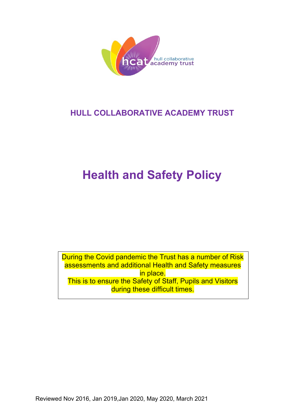

# **HULL COLLABORATIVE ACADEMY TRUST**

# **Health and Safety Policy**

During the Covid pandemic the Trust has a number of Risk assessments and additional Health and Safety measures in place. This is to ensure the Safety of Staff, Pupils and Visitors during these difficult times.

Reviewed Nov 2016, Jan 2019,Jan 2020, May 2020, March 2021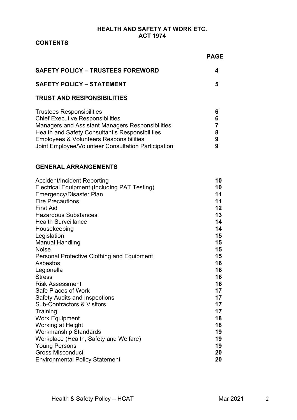## **HEALTH AND SAFETY AT WORK ETC. ACT 1974**

## **CONTENTS**

|                                                                                                                                                                                                                                                                                                                  | <b>PAGE</b>                                                    |
|------------------------------------------------------------------------------------------------------------------------------------------------------------------------------------------------------------------------------------------------------------------------------------------------------------------|----------------------------------------------------------------|
| <b>SAFETY POLICY - TRUSTEES FOREWORD</b>                                                                                                                                                                                                                                                                         | 4                                                              |
| <b>SAFETY POLICY - STATEMENT</b>                                                                                                                                                                                                                                                                                 | 5                                                              |
| <b>TRUST AND RESPONSIBILITIES</b>                                                                                                                                                                                                                                                                                |                                                                |
| <b>Trustees Responsibilities</b><br><b>Chief Executive Responsibilities</b><br>Managers and Assistant Managers Responsibilities<br>Health and Safety Consultant's Responsibilities<br>Employees & Volunteers Responsibilities<br>Joint Employee/Volunteer Consultation Participation                             | 6<br>6<br>$\overline{7}$<br>8<br>9<br>9                        |
| <b>GENERAL ARRANGEMENTS</b>                                                                                                                                                                                                                                                                                      |                                                                |
| <b>Accident/Incident Reporting</b><br><b>Electrical Equipment (Including PAT Testing)</b><br><b>Emergency/Disaster Plan</b><br><b>Fire Precautions</b><br><b>First Aid</b><br><b>Hazardous Substances</b><br><b>Health Surveillance</b><br>Housekeeping<br>Legislation<br><b>Manual Handling</b><br><b>Noise</b> | 10<br>10<br>11<br>11<br>12<br>13<br>14<br>14<br>15<br>15<br>15 |

| Legislation                                       | IJ |
|---------------------------------------------------|----|
| <b>Manual Handling</b>                            | 15 |
| <b>Noise</b>                                      | 15 |
| <b>Personal Protective Clothing and Equipment</b> | 15 |
| Asbestos                                          | 16 |
| Legionella                                        | 16 |
| <b>Stress</b>                                     | 16 |
| <b>Risk Assessment</b>                            | 16 |
| Safe Places of Work                               | 17 |
| <b>Safety Audits and Inspections</b>              | 17 |
| <b>Sub-Contractors &amp; Visitors</b>             | 17 |
| Training                                          | 17 |
| <b>Work Equipment</b>                             | 18 |
| <b>Working at Height</b>                          | 18 |
| <b>Workmanship Standards</b>                      | 19 |
| Workplace (Health, Safety and Welfare)            | 19 |
| <b>Young Persons</b>                              | 19 |
| <b>Gross Misconduct</b>                           | 20 |
| <b>Environmental Policy Statement</b>             | 20 |
|                                                   |    |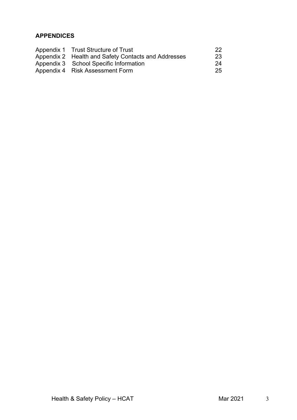## **APPENDICES**

| Appendix 1 Trust Structure of Trust                 | 22 <sub>1</sub> |
|-----------------------------------------------------|-----------------|
| Appendix 2 Health and Safety Contacts and Addresses | <b>23</b>       |
| Appendix 3 School Specific Information              | 24              |
| Appendix 4 Risk Assessment Form                     | -25             |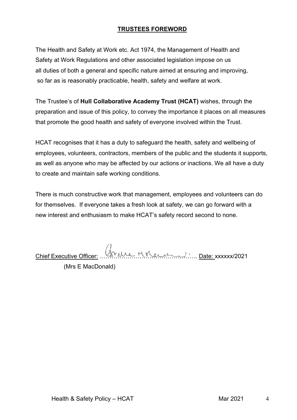## **TRUSTEES FOREWORD**

The Health and Safety at Work etc. Act 1974, the Management of Health and Safety at Work Regulations and other associated legislation impose on us all duties of both a general and specific nature aimed at ensuring and improving, so far as is reasonably practicable, health, safety and welfare at work.

The Trustee's of **Hull Collaborative Academy Trust (HCAT)** wishes, through the preparation and issue of this policy, to convey the importance it places on all measures that promote the good health and safety of everyone involved within the Trust.

HCAT recognises that it has a duty to safeguard the health, safety and wellbeing of employees, volunteers, contractors, members of the public and the students it supports, as well as anyone who may be affected by our actions or inactions. We all have a duty to create and maintain safe working conditions.

There is much constructive work that management, employees and volunteers can do for themselves. If everyone takes a fresh look at safety, we can go forward with a new interest and enthusiasm to make HCAT's safety record second to none.

Chief Executive Officer: …………………………………………. Date: xxxxxx/2021

 <sup>(</sup>Mrs E MacDonald)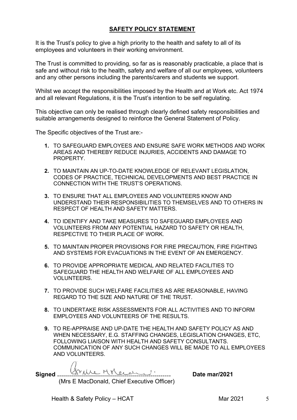## **SAFETY POLICY STATEMENT**

It is the Trust's policy to give a high priority to the health and safety to all of its employees and volunteers in their working environment.

The Trust is committed to providing, so far as is reasonably practicable, a place that is safe and without risk to the health, safety and welfare of all our employees, volunteers and any other persons including the parents/carers and students we support.

Whilst we accept the responsibilities imposed by the Health and at Work etc. Act 1974 and all relevant Regulations, it is the Trust's intention to be self regulating.

This objective can only be realised through clearly defined safety responsibilities and suitable arrangements designed to reinforce the General Statement of Policy.

The Specific objectives of the Trust are:-

- **1.** TO SAFEGUARD EMPLOYEES AND ENSURE SAFE WORK METHODS AND WORK AREAS AND THEREBY REDUCE INJURIES, ACCIDENTS AND DAMAGE TO PROPERTY.
- **2.** TO MAINTAIN AN UP-TO-DATE KNOWLEDGE OF RELEVANT LEGISLATION, CODES OF PRACTICE, TECHNICAL DEVELOPMENTS AND BEST PRACTICE IN CONNECTION WITH THE TRUST'S OPERATIONS.
- **3.** TO ENSURE THAT ALL EMPLOYEES AND VOLUNTEERS KNOW AND UNDERSTAND THEIR RESPONSIBILITIES TO THEMSELVES AND TO OTHERS IN RESPECT OF HEALTH AND SAFETY MATTERS.
- **4.** TO IDENTIFY AND TAKE MEASURES TO SAFEGUARD EMPLOYEES AND VOLUNTEERS FROM ANY POTENTIAL HAZARD TO SAFETY OR HEALTH, RESPECTIVE TO THEIR PLACE OF WORK.
- **5.** TO MAINTAIN PROPER PROVISIONS FOR FIRE PRECAUTION, FIRE FIGHTING AND SYSTEMS FOR EVACUATIONS IN THE EVENT OF AN EMERGENCY.
- **6.** TO PROVIDE APPROPRIATE MEDICAL AND RELATED FACILITIES TO SAFEGUARD THE HEALTH AND WELFARE OF ALL EMPLOYEES AND VOLUNTEERS.
- **7.** TO PROVIDE SUCH WELFARE FACILITIES AS ARE REASONABLE, HAVING REGARD TO THE SIZE AND NATURE OF THE TRUST.
- **8.** TO UNDERTAKE RISK ASSESSMENTS FOR ALL ACTIVITIES AND TO INFORM EMPLOYEES AND VOLUNTEERS OF THE RESULTS.
- **9.** TO RE-APPRAISE AND UP-DATE THE HEALTH AND SAFETY POLICY AS AND WHEN NECESSARY, E.G. STAFFING CHANGES, LEGISLATION CHANGES, ETC, FOLLOWING LIAISON WITH HEALTH AND SAFETY CONSULTANTS. COMMUNICATION OF ANY SUCH CHANGES WILL BE MADE TO ALL EMPLOYEES AND VOLUNTEERS.

**Signed ………………………………………………… Date mar/2021** (Mrs E MacDonald, Chief Executive Officer)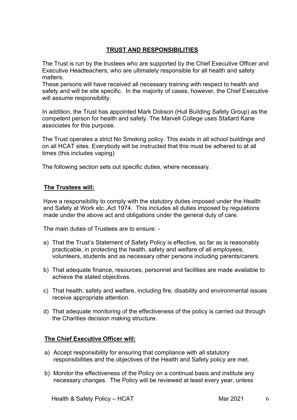## **TRUST AND RESPONSIBILITIES**

The Trust is run by the trustees who are supported by the Chief Executive Officer and Executive Headteachers, who are ultimately responsible for all health and safety matters.

These persons will have received all necessary training with respect to health and safety and will be site specific. In the majority of cases, however, the Chief Executive will assume responsibility.

In addition, the Trust has appointed Mark Dobson (Hull Building Safety Group) as the competent person for health and safety. The Marvell College uses Stallard Kane associates for this purpose.

The Trust operates a strict No Smoking policy. This exists in all school buildings and on all HCAT sites. Everybody will be instructed that this must be adhered to at all times (this includes vaping)

The following section sets out specific duties, where necessary.

#### **The Trustees will:**

Have a responsibility to comply with the statutory duties imposed under the Health and Safety at Work etc.,Act 1974. This includes all duties imposed by regulations made under the above act and obligations under the general duty of care.

The main duties of Trustees are to ensure: -

- a) That the Trust's Statement of Safety Policy is effective, so far as is reasonably practicable, in protecting the health, safety and welfare of all employees, volunteers, students and as necessary other persons including parents/carers.
- b) That adequate finance, resources, personnel and facilities are made available to achieve the stated objectives.
- c) That health, safety and welfare, including fire, disability and environmental issues receive appropriate attention.
- d) That adequate monitoring of the effectiveness of the policy is carried out through the Charities decision making structure.

## **The Chief Executive Officer will:**

- a) Accept responsibility for ensuring that compliance with all statutory responsibilities and the objectives of the Health and Safety policy are met.
- b) Monitor the effectiveness of the Policy on a continual basis and institute any necessary changes. The Policy will be reviewed at least every year, unless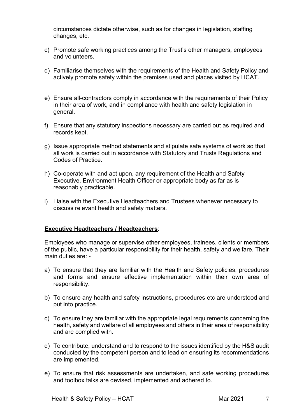circumstances dictate otherwise, such as for changes in legislation, staffing changes, etc.

- c) Promote safe working practices among the Trust's other managers, employees and volunteers.
- d) Familiarise themselves with the requirements of the Health and Safety Policy and actively promote safety within the premises used and places visited by HCAT.
- e) Ensure all-contractors comply in accordance with the requirements of their Policy in their area of work, and in compliance with health and safety legislation in general.
- f) Ensure that any statutory inspections necessary are carried out as required and records kept.
- g) Issue appropriate method statements and stipulate safe systems of work so that all work is carried out in accordance with Statutory and Trusts Regulations and Codes of Practice.
- h) Co-operate with and act upon, any requirement of the Health and Safety Executive, Environment Health Officer or appropriate body as far as is reasonably practicable.
- i) Liaise with the Executive Headteachers and Trustees whenever necessary to discuss relevant health and safety matters.

#### **Executive Headteachers / Headteachers**:

Employees who manage or supervise other employees, trainees, clients or members of the public, have a particular responsibility for their health, safety and welfare. Their main duties are: -

- a) To ensure that they are familiar with the Health and Safety policies, procedures and forms and ensure effective implementation within their own area of responsibility.
- b) To ensure any health and safety instructions, procedures etc are understood and put into practice.
- c) To ensure they are familiar with the appropriate legal requirements concerning the health, safety and welfare of all employees and others in their area of responsibility and are complied with.
- d) To contribute, understand and to respond to the issues identified by the H&S audit conducted by the competent person and to lead on ensuring its recommendations are implemented.
- e) To ensure that risk assessments are undertaken, and safe working procedures and toolbox talks are devised, implemented and adhered to.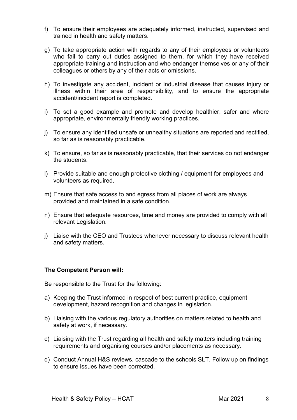- f) To ensure their employees are adequately informed, instructed, supervised and trained in health and safety matters.
- g) To take appropriate action with regards to any of their employees or volunteers who fail to carry out duties assigned to them, for which they have received appropriate training and instruction and who endanger themselves or any of their colleagues or others by any of their acts or omissions.
- h) To investigate any accident, incident or industrial disease that causes injury or illness within their area of responsibility, and to ensure the appropriate accident/incident report is completed.
- i) To set a good example and promote and develop healthier, safer and where appropriate, environmentally friendly working practices.
- j) To ensure any identified unsafe or unhealthy situations are reported and rectified, so far as is reasonably practicable.
- k) To ensure, so far as is reasonably practicable, that their services do not endanger the students.
- l) Provide suitable and enough protective clothing / equipment for employees and volunteers as required.
- m) Ensure that safe access to and egress from all places of work are always provided and maintained in a safe condition.
- n) Ensure that adequate resources, time and money are provided to comply with all relevant Legislation.
- j) Liaise with the CEO and Trustees whenever necessary to discuss relevant health and safety matters.

## **The Competent Person will:**

Be responsible to the Trust for the following:

- a) Keeping the Trust informed in respect of best current practice, equipment development, hazard recognition and changes in legislation.
- b) Liaising with the various regulatory authorities on matters related to health and safety at work, if necessary.
- c) Liaising with the Trust regarding all health and safety matters including training requirements and organising courses and/or placements as necessary.
- d) Conduct Annual H&S reviews, cascade to the schools SLT. Follow up on findings to ensure issues have been corrected.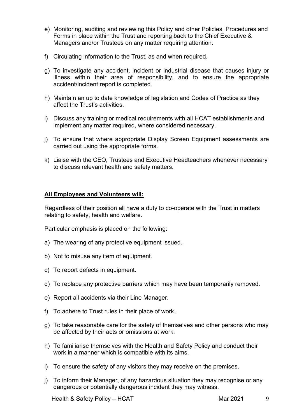- e) Monitoring, auditing and reviewing this Policy and other Policies, Procedures and Forms in place within the Trust and reporting back to the Chief Executive & Managers and/or Trustees on any matter requiring attention.
- f) Circulating information to the Trust, as and when required.
- g) To investigate any accident, incident or industrial disease that causes injury or illness within their area of responsibility, and to ensure the appropriate accident/incident report is completed.
- h) Maintain an up to date knowledge of legislation and Codes of Practice as they affect the Trust's activities.
- i) Discuss any training or medical requirements with all HCAT establishments and implement any matter required, where considered necessary.
- j) To ensure that where appropriate Display Screen Equipment assessments are carried out using the appropriate forms.
- k) Liaise with the CEO, Trustees and Executive Headteachers whenever necessary to discuss relevant health and safety matters.

#### **All Employees and Volunteers will:**

Regardless of their position all have a duty to co-operate with the Trust in matters relating to safety, health and welfare.

Particular emphasis is placed on the following:

- a) The wearing of any protective equipment issued.
- b) Not to misuse any item of equipment.
- c) To report defects in equipment.
- d) To replace any protective barriers which may have been temporarily removed.
- e) Report all accidents via their Line Manager.
- f) To adhere to Trust rules in their place of work.
- g) To take reasonable care for the safety of themselves and other persons who may be affected by their acts or omissions at work.
- h) To familiarise themselves with the Health and Safety Policy and conduct their work in a manner which is compatible with its aims.
- i) To ensure the safety of any visitors they may receive on the premises.
- j) To inform their Manager, of any hazardous situation they may recognise or any dangerous or potentially dangerous incident they may witness.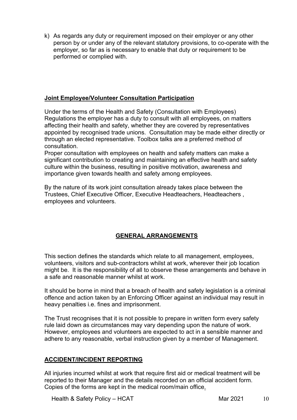k) As regards any duty or requirement imposed on their employer or any other person by or under any of the relevant statutory provisions, to co-operate with the employer, so far as is necessary to enable that duty or requirement to be performed or complied with.

## **Joint Employee/Volunteer Consultation Participation**

Under the terms of the Health and Safety (Consultation with Employees) Regulations the employer has a duty to consult with all employees, on matters affecting their health and safety, whether they are covered by representatives appointed by recognised trade unions. Consultation may be made either directly or through an elected representative. Toolbox talks are a preferred method of consultation.

Proper consultation with employees on health and safety matters can make a significant contribution to creating and maintaining an effective health and safety culture within the business, resulting in positive motivation, awareness and importance given towards health and safety among employees.

By the nature of its work joint consultation already takes place between the Trustees, Chief Executive Officer, Executive Headteachers, Headteachers , employees and volunteers.

## **GENERAL ARRANGEMENTS**

This section defines the standards which relate to all management, employees, volunteers, visitors and sub-contractors whilst at work, wherever their job location might be. It is the responsibility of all to observe these arrangements and behave in a safe and reasonable manner whilst at work.

It should be borne in mind that a breach of health and safety legislation is a criminal offence and action taken by an Enforcing Officer against an individual may result in heavy penalties i.e. fines and imprisonment.

The Trust recognises that it is not possible to prepare in written form every safety rule laid down as circumstances may vary depending upon the nature of work. However, employees and volunteers are expected to act in a sensible manner and adhere to any reasonable, verbal instruction given by a member of Management.

#### **ACCIDENT/INCIDENT REPORTING**

All injuries incurred whilst at work that require first aid or medical treatment will be reported to their Manager and the details recorded on an official accident form. Copies of the forms are kept in the medical room/main office.

Health & Safety Policy – HCAT Mar 2021 10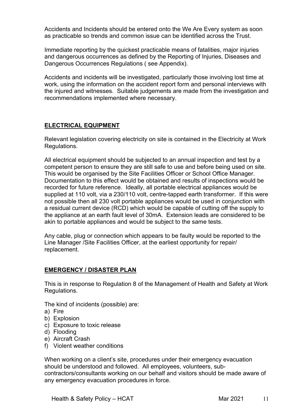Accidents and Incidents should be entered onto the We Are Every system as soon as practicable so trends and common issue can be identified across the Trust.

Immediate reporting by the quickest practicable means of fatalities, major injuries and dangerous occurrences as defined by the Reporting of Injuries, Diseases and Dangerous Occurrences Regulations ( see Appendix).

Accidents and incidents will be investigated, particularly those involving lost time at work, using the information on the accident report form and personal interviews with the injured and witnesses. Suitable judgements are made from the investigation and recommendations implemented where necessary.

#### **ELECTRICAL EQUIPMENT**

Relevant legislation covering electricity on site is contained in the Electricity at Work Regulations.

All electrical equipment should be subjected to an annual inspection and test by a competent person to ensure they are still safe to use and before being used on site. This would be organised by the Site Facilities Officer or School Office Manager. Documentation to this effect would be obtained and results of inspections would be recorded for future reference. Ideally, all portable electrical appliances would be supplied at 110 volt, via a 230/110 volt, centre-tapped earth transformer. If this were not possible then all 230 volt portable appliances would be used in conjunction with a residual current device (RCD) which would be capable of cutting off the supply to the appliance at an earth fault level of 30mA. Extension leads are considered to be akin to portable appliances and would be subject to the same tests.

Any cable, plug or connection which appears to be faulty would be reported to the Line Manager /Site Facilities Officer, at the earliest opportunity for repair/ replacement.

## **EMERGENCY / DISASTER PLAN**

This is in response to Regulation 8 of the Management of Health and Safety at Work Regulations.

The kind of incidents (possible) are:

- a) Fire
- b) Explosion
- c) Exposure to toxic release
- d) Flooding
- e) Aircraft Crash
- f) Violent weather conditions

When working on a client's site, procedures under their emergency evacuation should be understood and followed. All employees, volunteers, subcontractors/consultants working on our behalf and visitors should be made aware of any emergency evacuation procedures in force.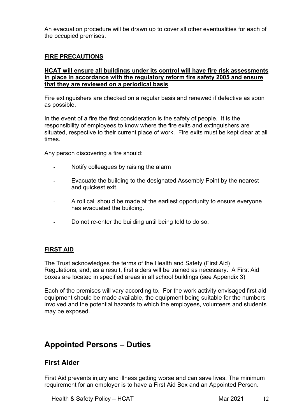An evacuation procedure will be drawn up to cover all other eventualities for each of the occupied premises.

## **FIRE PRECAUTIONS**

#### **HCAT will ensure all buildings under its control will have fire risk assessments in place in accordance with the regulatory reform fire safety 2005 and ensure that they are reviewed on a periodical basis**

Fire extinguishers are checked on a regular basis and renewed if defective as soon as possible.

In the event of a fire the first consideration is the safety of people. It is the responsibility of employees to know where the fire exits and extinguishers are situated, respective to their current place of work. Fire exits must be kept clear at all times.

Any person discovering a fire should:

- Notify colleagues by raising the alarm
- Evacuate the building to the designated Assembly Point by the nearest and quickest exit.
- A roll call should be made at the earliest opportunity to ensure everyone has evacuated the building.
- Do not re-enter the building until being told to do so.

## **FIRST AID**

The Trust acknowledges the terms of the Health and Safety (First Aid) Regulations, and, as a result, first aiders will be trained as necessary. A First Aid boxes are located in specified areas in all school buildings (see Appendix 3)

Each of the premises will vary according to. For the work activity envisaged first aid equipment should be made available, the equipment being suitable for the numbers involved and the potential hazards to which the employees, volunteers and students may be exposed.

## **Appointed Persons – Duties**

## **First Aider**

First Aid prevents injury and illness getting worse and can save lives. The minimum requirement for an employer is to have a First Aid Box and an Appointed Person.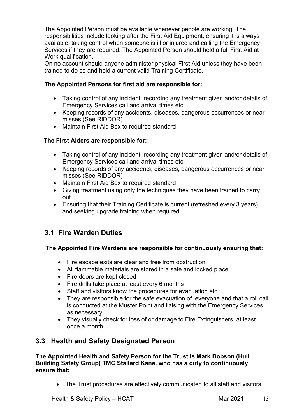The Appointed Person must be available whenever people are working. The responsibilities include looking after the First Aid Equipment, ensuring it is always available, taking control when someone is ill or injured and calling the Emergency Services if they are required. The Appointed Person should hold a full First Aid at Work qualification.

On no account should anyone administer physical First Aid unless they have been trained to do so and hold a current valid Training Certificate.

## **The Appointed Persons for first aid are responsible for:**

- Taking control of any incident, recording any treatment given and/or details of Emergency Services call and arrival times etc
- Keeping records of any accidents, diseases, dangerous occurrences or near misses (See RIDDOR)
- Maintain First Aid Box to required standard

## **The First Aiders are responsible for:**

- Taking control of any incident, recording any treatment given and/or details of Emergency Services call and arrival times etc
- Keeping records of any accidents, diseases, dangerous occurrences or near misses (See RIDDOR)
- Maintain First Aid Box to required standard
- Giving treatment using only the techniques they have been trained to carry out
- Ensuring that their Training Certificate is current (refreshed every 3 years) and seeking upgrade training when required

## **3.1 Fire Warden Duties**

## **The Appointed Fire Wardens are responsible for continuously ensuring that:**

- Fire escape exits are clear and free from obstruction
- All flammable materials are stored in a safe and locked place
- Fire doors are kept closed
- Fire drills take place at least every 6 months
- Staff and visitors know the procedures for evacuation etc
- They are responsible for the safe evacuation of everyone and that a roll call is conducted at the Muster Point and liaising with the Emergency Services as necessary
- They visually check for loss of or damage to Fire Extinguishers, at least once a month

## **3.3 Health and Safety Designated Person**

**The Appointed Health and Safety Person for the Trust is Mark Dobson (Hull Building Safety Group) TMC Stallard Kane, who has a duty to continuously ensure that:**

• The Trust procedures are effectively communicated to all staff and visitors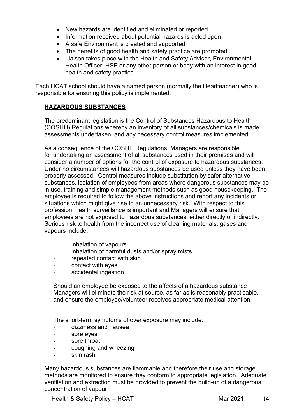- New hazards are identified and eliminated or reported
- Information received about potential hazards is acted upon
- A safe Environment is created and supported
- The benefits of good health and safety practice are promoted
- Liaison takes place with the Health and Safety Adviser, Environmental Health Officer, HSE or any other person or body with an interest in good health and safety practice

Each HCAT school should have a named person (normally the Headteacher) who is responsible for ensuring this policy is implemented.

#### **HAZARDOUS SUBSTANCES**

The predominant legislation is the Control of Substances Hazardous to Health (COSHH) Regulations whereby an inventory of all substances/chemicals is made; assessments undertaken; and any necessary control measures implemented.

As a consequence of the COSHH Regulations, Managers are responsible for undertaking an assessment of all substances used in their premises and will consider a number of options for the control of exposure to hazardous substances. Under no circumstances will hazardous substances be used unless they have been properly assessed. Control measures include substitution by safer alternative substances, isolation of employees from areas where dangerous substances may be in use, training and simple management methods such as good housekeeping. The employee is required to follow the above instructions and report any incidents or situations which might give rise to an unnecessary risk. With respect to this profession, health surveillance is important and Managers will ensure that employees are not exposed to hazardous substances, either directly or indirectly. Serious risk to health from the incorrect use of cleaning materials, gases and vapours include:

- inhalation of vapours
- inhalation of harmful dusts and/or spray mists
- repeated contact with skin
- contact with eyes
- accidental ingestion

Should an employee be exposed to the affects of a hazardous substance Managers will eliminate the risk at source, as far as is reasonably practicable, and ensure the employee/volunteer receives appropriate medical attention.

The short-term symptoms of over exposure may include:

- dizziness and nausea
- sore eyes
- sore throat
- coughing and wheezing
- skin rash

Many hazardous substances are flammable and therefore their use and storage methods are monitored to ensure they conform to appropriate legislation. Adequate ventilation and extraction must be provided to prevent the build-up of a dangerous concentration of vapour.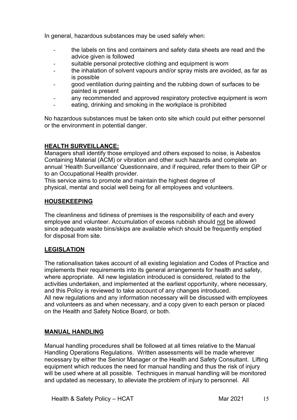In general, hazardous substances may be used safely when:

- the labels on tins and containers and safety data sheets are read and the advice given is followed
- suitable personal protective clothing and equipment is worn
- the inhalation of solvent vapours and/or spray mists are avoided, as far as is possible
- good ventilation during painting and the rubbing down of surfaces to be painted is present
- any recommended and approved respiratory protective equipment is worn
- eating, drinking and smoking in the workplace is prohibited

No hazardous substances must be taken onto site which could put either personnel or the environment in potential danger.

## **HEALTH SURVEILLANCE:**

Managers shall identify those employed and others exposed to noise, is Asbestos Containing Material (ACM) or vibration and other such hazards and complete an annual 'Health Surveillance' Questionnaire, and if required, refer them to their GP or to an Occupational Health provider.

This service aims to promote and maintain the highest degree of physical, mental and social well being for all employees and volunteers.

## **HOUSEKEEPING**

The cleanliness and tidiness of premises is the responsibility of each and every employee and volunteer. Accumulation of excess rubbish should not be allowed since adequate waste bins/skips are available which should be frequently emptied for disposal from site.

## **LEGISLATION**

The rationalisation takes account of all existing legislation and Codes of Practice and implements their requirements into its general arrangements for health and safety, where appropriate. All new legislation introduced is considered, related to the activities undertaken, and implemented at the earliest opportunity, where necessary, and this Policy is reviewed to take account of any changes introduced. All new regulations and any information necessary will be discussed with employees and volunteers as and when necessary, and a copy given to each person or placed on the Health and Safety Notice Board, or both.

## **MANUAL HANDLING**

Manual handling procedures shall be followed at all times relative to the Manual Handling Operations Regulations. Written assessments will be made wherever necessary by either the Senior Manager or the Health and Safety Consultant. Lifting equipment which reduces the need for manual handling and thus the risk of injury will be used where at all possible. Techniques in manual handling will be monitored and updated as necessary, to alleviate the problem of injury to personnel. All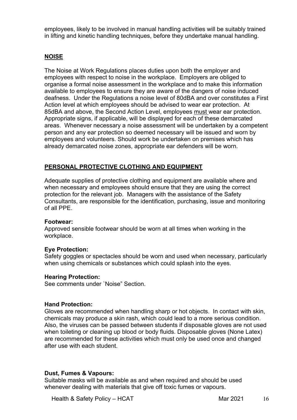employees, likely to be involved in manual handling activities will be suitably trained in lifting and kinetic handling techniques, before they undertake manual handling.

## **NOISE**

The Noise at Work Regulations places duties upon both the employer and employees with respect to noise in the workplace. Employers are obliged to organise a formal noise assessment in the workplace and to make this information available to employees to ensure they are aware of the dangers of noise induced deafness. Under the Regulations a noise level of 80dBA and over constitutes a First Action level at which employees should be advised to wear ear protection. At 85dBA and above, the Second Action Level, employees must wear ear protection. Appropriate signs, if applicable, will be displayed for each of these demarcated areas. Whenever necessary a noise assessment will be undertaken by a competent person and any ear protection so deemed necessary will be issued and worn by employees and volunteers. Should work be undertaken on premises which has already demarcated noise zones, appropriate ear defenders will be worn.

#### **PERSONAL PROTECTIVE CLOTHING AND EQUIPMENT**

Adequate supplies of protective clothing and equipment are available where and when necessary and employees should ensure that they are using the correct protection for the relevant job. Managers with the assistance of the Safety Consultants, are responsible for the identification, purchasing, issue and monitoring of all PPE.

#### **Footwear:**

Approved sensible footwear should be worn at all times when working in the workplace.

#### **Eye Protection:**

Safety goggles or spectacles should be worn and used when necessary, particularly when using chemicals or substances which could splash into the eyes.

#### **Hearing Protection:**

See comments under `Noise" Section.

#### **Hand Protection:**

Gloves are recommended when handling sharp or hot objects. In contact with skin, chemicals may produce a skin rash, which could lead to a more serious condition. Also, the viruses can be passed between students if disposable gloves are not used when toileting or cleaning up blood or body fluids. Disposable gloves (None Latex) are recommended for these activities which must only be used once and changed after use with each student.

#### **Dust, Fumes & Vapours:**

Suitable masks will be available as and when required and should be used whenever dealing with materials that give off toxic fumes or vapours.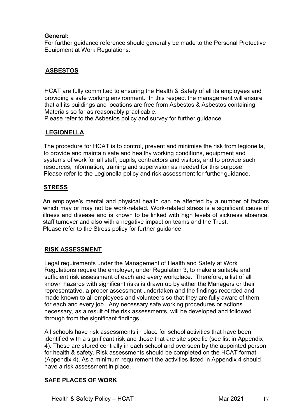## **General:**

For further guidance reference should generally be made to the Personal Protective Equipment at Work Regulations.

## **ASBESTOS**

HCAT are fully committed to ensuring the Health & Safety of all its employees and providing a safe working environment. In this respect the management will ensure that all its buildings and locations are free from Asbestos & Asbestos containing Materials so far as reasonably practicable.

Please refer to the Asbestos policy and survey for further guidance.

## **LEGIONELLA**

The procedure for HCAT is to control, prevent and minimise the risk from legionella, to provide and maintain safe and healthy working conditions, equipment and systems of work for all staff, pupils, contractors and visitors, and to provide such resources, information, training and supervision as needed for this purpose. Please refer to the Legionella policy and risk assessment for further guidance.

## **STRESS**

An employee's mental and physical health can be affected by a number of factors which may or may not be work-related. Work-related stress is a significant cause of illness and disease and is known to be linked with high levels of sickness absence, staff turnover and also with a negative impact on teams and the Trust. Please refer to the Stress policy for further guidance

## **RISK ASSESSMENT**

Legal requirements under the Management of Health and Safety at Work Regulations require the employer, under Regulation 3, to make a suitable and sufficient risk assessment of each and every workplace. Therefore, a list of all known hazards with significant risks is drawn up by either the Managers or their representative, a proper assessment undertaken and the findings recorded and made known to all employees and volunteers so that they are fully aware of them, for each and every job. Any necessary safe working procedures or actions necessary, as a result of the risk assessments, will be developed and followed through from the significant findings.

All schools have risk assessments in place for school activities that have been identified with a significant risk and those that are site specific (see list in Appendix 4). These are stored centrally in each school and overseen by the appointed person for health & safety. Risk assessments should be completed on the HCAT format (Appendix 4). As a minimum requirement the activities listed in Appendix 4 should have a risk assessment in place.

## **SAFE PLACES OF WORK**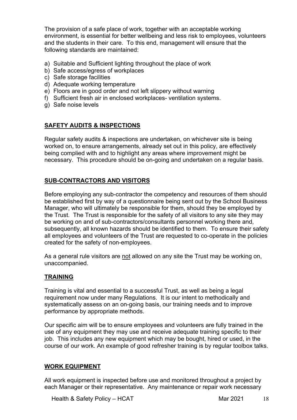The provision of a safe place of work, together with an acceptable working environment, is essential for better wellbeing and less risk to employees, volunteers and the students in their care. To this end, management will ensure that the following standards are maintained:

- a) Suitable and Sufficient lighting throughout the place of work
- b) Safe access/egress of workplaces
- c) Safe storage facilities
- d) Adequate working temperature
- e) Floors are in good order and not left slippery without warning
- f) Sufficient fresh air in enclosed workplaces- ventilation systems.
- g) Safe noise levels

## **SAFETY AUDITS & INSPECTIONS**

Regular safety audits & inspections are undertaken, on whichever site is being worked on, to ensure arrangements, already set out in this policy, are effectively being complied with and to highlight any areas where improvement might be necessary. This procedure should be on-going and undertaken on a regular basis.

## **SUB-CONTRACTORS AND VISITORS**

Before employing any sub-contractor the competency and resources of them should be established first by way of a questionnaire being sent out by the School Business Manager, who will ultimately be responsible for them, should they be employed by the Trust. The Trust is responsible for the safety of all visitors to any site they may be working on and of sub-contractors/consultants personnel working there and, subsequently, all known hazards should be identified to them. To ensure their safety all employees and volunteers of the Trust are requested to co-operate in the policies created for the safety of non-employees.

As a general rule visitors are not allowed on any site the Trust may be working on, unaccompanied.

## **TRAINING**

Training is vital and essential to a successful Trust, as well as being a legal requirement now under many Regulations. It is our intent to methodically and systematically assess on an on-going basis, our training needs and to improve performance by appropriate methods.

Our specific aim will be to ensure employees and volunteers are fully trained in the use of any equipment they may use and receive adequate training specific to their job. This includes any new equipment which may be bought, hired or used, in the course of our work. An example of good refresher training is by regular toolbox talks.

## **WORK EQUIPMENT**

All work equipment is inspected before use and monitored throughout a project by each Manager or their representative. Any maintenance or repair work necessary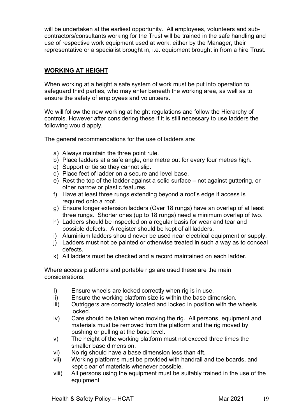will be undertaken at the earliest opportunity. All employees, volunteers and subcontractors/consultants working for the Trust will be trained in the safe handling and use of respective work equipment used at work, either by the Manager, their representative or a specialist brought in, i.e. equipment brought in from a hire Trust.

## **WORKING AT HEIGHT**

When working at a height a safe system of work must be put into operation to safeguard third parties, who may enter beneath the working area, as well as to ensure the safety of employees and volunteers.

We will follow the new working at height regulations and follow the Hierarchy of controls. However after considering these if it is still necessary to use ladders the following would apply.

The general recommendations for the use of ladders are:

- a) Always maintain the three point rule.
- b) Place ladders at a safe angle, one metre out for every four metres high.
- c) Support or tie so they cannot slip.
- d) Place feet of ladder on a secure and level base.
- e) Rest the top of the ladder against a solid surface not against guttering, or other narrow or plastic features.
- f) Have at least three rungs extending beyond a roof's edge if access is required onto a roof.
- g) Ensure longer extension ladders (Over 18 rungs) have an overlap of at least three rungs. Shorter ones (up to 18 rungs) need a minimum overlap of two.
- h) Ladders should be inspected on a regular basis for wear and tear and possible defects. A register should be kept of all ladders.
- i) Aluminium ladders should never be used near electrical equipment or supply.
- j) Ladders must not be painted or otherwise treated in such a way as to conceal defects.
- k) All ladders must be checked and a record maintained on each ladder.

Where access platforms and portable rigs are used these are the main considerations:

- I) Ensure wheels are locked correctly when rig is in use.
- ii) Ensure the working platform size is within the base dimension.
- iii) Outriggers are correctly located and locked in position with the wheels locked.
- iv) Care should be taken when moving the rig. All persons, equipment and materials must be removed from the platform and the rig moved by pushing or pulling at the base level.
- v) The height of the working platform must not exceed three times the smaller base dimension.
- vi) No rig should have a base dimension less than 4ft.
- vii) Working platforms must be provided with handrail and toe boards, and kept clear of materials whenever possible.
- viii) All persons using the equipment must be suitably trained in the use of the equipment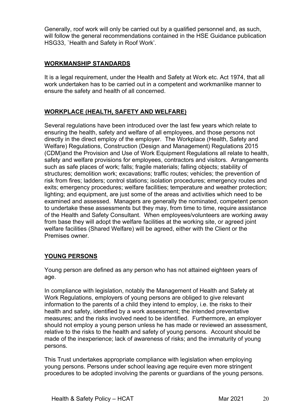Generally, roof work will only be carried out by a qualified personnel and, as such, will follow the general recommendations contained in the HSE Guidance publication HSG33, `Health and Safety in Roof Work'.

## **WORKMANSHIP STANDARDS**

It is a legal requirement, under the Health and Safety at Work etc. Act 1974, that all work undertaken has to be carried out in a competent and workmanlike manner to ensure the safety and health of all concerned.

## **WORKPLACE (HEALTH, SAFETY AND WELFARE)**

Several regulations have been introduced over the last few years which relate to ensuring the health, safety and welfare of all employees, and those persons not directly in the direct employ of the employer. The Workplace (Health, Safety and Welfare) Regulations, Construction (Design and Management) Regulations 2015 (CDM)and the Provision and Use of Work Equipment Regulations all relate to health, safety and welfare provisions for employees, contractors and visitors. Arrangements such as safe places of work; falls; fragile materials; falling objects; stability of structures; demolition work; excavations; traffic routes; vehicles; the prevention of risk from fires; ladders; control stations; isolation procedures; emergency routes and exits; emergency procedures; welfare facilities; temperature and weather protection; lighting; and equipment, are just some of the areas and activities which need to be examined and assessed. Managers are generally the nominated, competent person to undertake these assessments but they may, from time to time, require assistance of the Health and Safety Consultant. When employees/volunteers are working away from base they will adopt the welfare facilities at the working site, or agreed joint welfare facilities (Shared Welfare) will be agreed, either with the Client or the Premises owner.

## **YOUNG PERSONS**

Young person are defined as any person who has not attained eighteen years of age.

In compliance with legislation, notably the Management of Health and Safety at Work Regulations, employers of young persons are obliged to give relevant information to the parents of a child they intend to employ, i.e. the risks to their health and safety, identified by a work assessment; the intended preventative measures; and the risks involved need to be identified. Furthermore, an employer should not employ a young person unless he has made or reviewed an assessment, relative to the risks to the health and safety of young persons. Account should be made of the inexperience; lack of awareness of risks; and the immaturity of young persons.

This Trust undertakes appropriate compliance with legislation when employing young persons. Persons under school leaving age require even more stringent procedures to be adopted involving the parents or guardians of the young persons.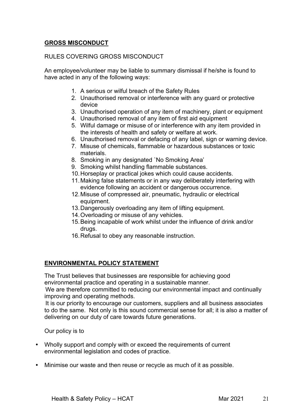## **GROSS MISCONDUCT**

#### RULES COVERING GROSS MISCONDUCT

An employee/volunteer may be liable to summary dismissal if he/she is found to have acted in any of the following ways:

- 1. A serious or wilful breach of the Safety Rules
- 2. Unauthorised removal or interference with any guard or protective device
- 3. Unauthorised operation of any item of machinery, plant or equipment
- 4. Unauthorised removal of any item of first aid equipment
- 5. Wilful damage or misuse of or interference with any item provided in the interests of health and safety or welfare at work.
- 6. Unauthorised removal or defacing of any label, sign or warning device.
- 7. Misuse of chemicals, flammable or hazardous substances or toxic materials.
- 8. Smoking in any designated `No Smoking Area'
- 9. Smoking whilst handling flammable substances.
- 10.Horseplay or practical jokes which could cause accidents.
- 11.Making false statements or in any way deliberately interfering with evidence following an accident or dangerous occurrence.
- 12.Misuse of compressed air, pneumatic, hydraulic or electrical equipment.
- 13.Dangerously overloading any item of lifting equipment.
- 14.Overloading or misuse of any vehicles.
- 15.Being incapable of work whilst under the influence of drink and/or drugs.
- 16.Refusal to obey any reasonable instruction.

#### **ENVIRONMENTAL POLICY STATEMENT**

The Trust believes that businesses are responsible for achieving good environmental practice and operating in a sustainable manner.

 We are therefore committed to reducing our environmental impact and continually improving and operating methods.

 It is our priority to encourage our customers, suppliers and all business associates to do the same. Not only is this sound commercial sense for all; it is also a matter of delivering on our duty of care towards future generations.

Our policy is to

- Wholly support and comply with or exceed the requirements of current environmental legislation and codes of practice.
- Minimise our waste and then reuse or recycle as much of it as possible.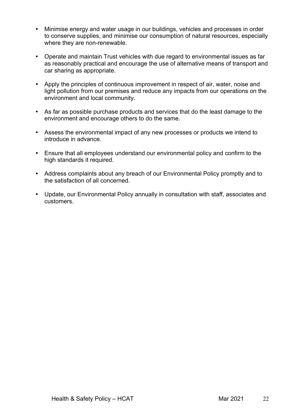- Minimise energy and water usage in our buildings, vehicles and processes in order to conserve supplies, and minimise our consumption of natural resources, especially where they are non-renewable.
- Operate and maintain Trust vehicles with due regard to environmental issues as far as reasonably practical and encourage the use of alternative means of transport and car sharing as appropriate.
- Apply the principles of continuous improvement in respect of air, water, noise and light pollution from our premises and reduce any impacts from our operations on the environment and local community.
- As far as possible purchase products and services that do the least damage to the environment and encourage others to do the same.
- Assess the environmental impact of any new processes or products we intend to introduce in advance.
- Ensure that all employees understand our environmental policy and confirm to the high standards it required.
- Address complaints about any breach of our Environmental Policy promptly and to the satisfaction of all concerned.
- Update, our Environmental Policy annually in consultation with staff, associates and customers.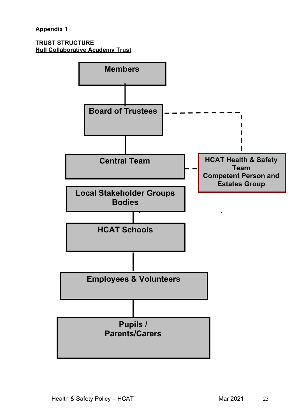#### **TRUST STRUCTURE Hull Collaborative Academy Trust**

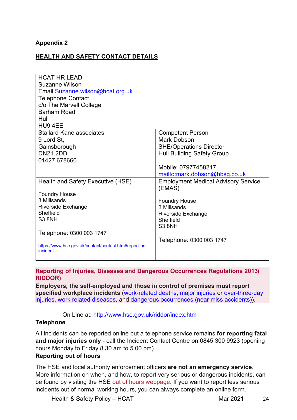## **Appendix 2**

## **HEALTH AND SAFETY CONTACT DETAILS**

| <b>HCAT HR LEAD</b>                                               |                                                      |
|-------------------------------------------------------------------|------------------------------------------------------|
| Suzanne Wilson                                                    |                                                      |
| Email Suzanne.wilson@hcat.org.uk                                  |                                                      |
| <b>Telephone Contact</b>                                          |                                                      |
| c/o The Marvell College                                           |                                                      |
| <b>Barham Road</b>                                                |                                                      |
| Hull                                                              |                                                      |
| HU9 4EE                                                           |                                                      |
| <b>Stallard Kane associates</b>                                   | <b>Competent Person</b>                              |
| 9 Lord St,                                                        | <b>Mark Dobson</b>                                   |
| Gainsborough                                                      | <b>SHE/Operations Director</b>                       |
| <b>DN21 2DD</b>                                                   | <b>Hull Building Safety Group</b>                    |
| 01427 678660                                                      |                                                      |
|                                                                   | Mobile: 07977458217                                  |
|                                                                   | mailto:mark.dobson@hbsg.co.uk                        |
| Health and Safety Executive (HSE)                                 | <b>Employment Medical Advisory Service</b><br>(EMAS) |
| <b>Foundry House</b>                                              |                                                      |
| 3 Millsands                                                       | <b>Foundry House</b>                                 |
| <b>Riverside Exchange</b>                                         | 3 Millsands                                          |
| Sheffield                                                         | <b>Riverside Exchange</b>                            |
| <b>S3 8NH</b>                                                     | Sheffield                                            |
|                                                                   | <b>S3 8NH</b>                                        |
| Telephone: 0300 003 1747                                          |                                                      |
|                                                                   | Telephone: 0300 003 1747                             |
| https://www.hse.gov.uk/contact/contact.htm#report-an-<br>incident |                                                      |
|                                                                   |                                                      |

#### **Reporting of Injuries, Diseases and Dangerous Occurrences Regulations 2013( RIDDOR)**

**Employers, the self-employed and those in control of premises must report specified workplace incidents** (work-related deaths, major injuries or over-three-day injuries, work related diseases, and dangerous occurrences (near miss accidents)).

#### On Line at: http://www.hse.gov.uk/riddor/index.htm

#### **Telephone**

All incidents can be reported online but a telephone service remains **for reporting fatal and major injuries only** - call the Incident Contact Centre on 0845 300 9923 (opening hours Monday to Friday 8.30 am to 5.00 pm).

#### **Reporting out of hours**

The HSE and local authority enforcement officers **are not an emergency service**. More information on when, and how, to report very serious or dangerous incidents, can be found by visiting the HSE out of hours webpage. If you want to report less serious incidents out of normal working hours, you can always complete an online form.

Health & Safety Policy – HCAT Mar 2021 24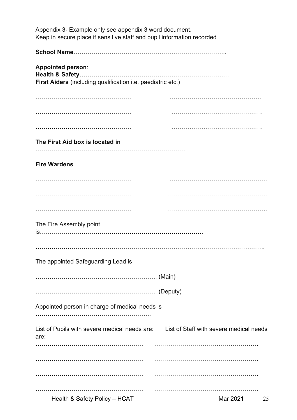| Appendix 3- Example only see appendix 3 word document.<br>Keep in secure place if sensitive staff and pupil information recorded |                                         |
|----------------------------------------------------------------------------------------------------------------------------------|-----------------------------------------|
|                                                                                                                                  |                                         |
| <b>Appointed person:</b><br>First Aiders (including qualification i.e. paediatric etc.)                                          |                                         |
|                                                                                                                                  |                                         |
|                                                                                                                                  |                                         |
|                                                                                                                                  |                                         |
| The First Aid box is located in                                                                                                  |                                         |
|                                                                                                                                  |                                         |
| <b>Fire Wardens</b>                                                                                                              |                                         |
|                                                                                                                                  |                                         |
|                                                                                                                                  |                                         |
|                                                                                                                                  |                                         |
| The Fire Assembly point                                                                                                          |                                         |
|                                                                                                                                  |                                         |
|                                                                                                                                  |                                         |
| The appointed Safeguarding Lead is                                                                                               |                                         |
|                                                                                                                                  |                                         |
|                                                                                                                                  |                                         |
| Appointed person in charge of medical needs is                                                                                   |                                         |
| List of Pupils with severe medical needs are:                                                                                    | List of Staff with severe medical needs |
| are:                                                                                                                             |                                         |
|                                                                                                                                  |                                         |
|                                                                                                                                  |                                         |
|                                                                                                                                  |                                         |
| Health & Safety Policy - HCAT                                                                                                    | Mar 2021<br>25                          |